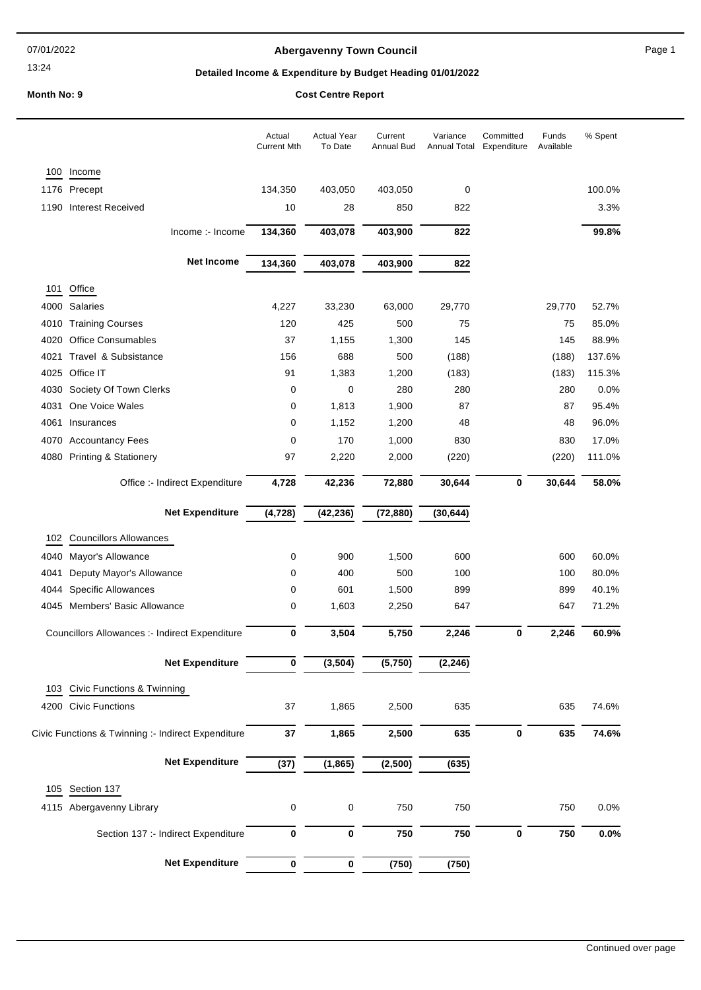#### 07/01/2022

#### 13:24

# **Abergavenny Town Council Abergavenny Town Council Page 1**

# **Detailed Income & Expenditure by Budget Heading 01/01/2022**

# **Month No: 9 Cost Centre Report**

|              |                                                       | Actual<br><b>Current Mth</b> | <b>Actual Year</b><br>To Date | Current<br>Annual Bud | Variance<br>Annual Total | Committed<br>Expenditure | Funds<br>Available | % Spent          |
|--------------|-------------------------------------------------------|------------------------------|-------------------------------|-----------------------|--------------------------|--------------------------|--------------------|------------------|
| 100          | Income                                                |                              |                               |                       |                          |                          |                    |                  |
|              | 1176 Precept                                          | 134,350                      | 403,050                       | 403,050               | 0                        |                          |                    | 100.0%           |
| 1190         | <b>Interest Received</b>                              | 10                           | 28                            | 850                   | 822                      |                          |                    | 3.3%             |
|              | Income :- Income                                      | 134,360                      | 403,078                       | 403,900               | 822                      |                          |                    | 99.8%            |
|              | <b>Net Income</b>                                     | 134,360                      | 403,078                       | 403,900               | 822                      |                          |                    |                  |
|              | Office                                                |                              |                               |                       |                          |                          |                    |                  |
| 101          | Salaries                                              | 4,227                        |                               | 63,000                |                          |                          | 29,770             | 52.7%            |
| 4000         |                                                       |                              | 33,230                        |                       | 29,770                   |                          |                    |                  |
|              | 4010 Training Courses                                 | 120                          | 425                           | 500                   | 75                       |                          | 75                 | 85.0%            |
| 4020         | <b>Office Consumables</b>                             | 37                           | 1,155                         | 1,300                 | 145                      |                          | 145                | 88.9%            |
| 4021         | Travel & Subsistance<br>4025 Office IT                | 156<br>91                    | 688                           | 500<br>1,200          | (188)                    |                          | (188)              | 137.6%<br>115.3% |
|              |                                                       |                              | 1,383<br>$\mathbf 0$          |                       | (183)                    |                          | (183)              | 0.0%             |
| 4030<br>4031 | Society Of Town Clerks<br>One Voice Wales             | 0<br>0                       |                               | 280                   | 280<br>87                |                          | 280<br>87          | 95.4%            |
| 4061         | Insurances                                            | $\mathbf 0$                  | 1,813<br>1,152                | 1,900<br>1,200        | 48                       |                          | 48                 | 96.0%            |
|              |                                                       |                              |                               |                       |                          |                          |                    |                  |
| 4070         | <b>Accountancy Fees</b><br>4080 Printing & Stationery | $\mathbf 0$<br>97            | 170<br>2,220                  | 1,000<br>2,000        | 830<br>(220)             |                          | 830<br>(220)       | 17.0%<br>111.0%  |
|              |                                                       |                              |                               |                       |                          |                          |                    |                  |
|              | Office :- Indirect Expenditure                        | 4,728                        | 42,236                        | 72,880                | 30,644                   | 0                        | 30,644             | 58.0%            |
|              | <b>Net Expenditure</b>                                | (4, 728)                     | (42, 236)                     | (72, 880)             | (30, 644)                |                          |                    |                  |
| 102          | <b>Councillors Allowances</b>                         |                              |                               |                       |                          |                          |                    |                  |
| 4040         | Mayor's Allowance                                     | 0                            | 900                           | 1,500                 | 600                      |                          | 600                | 60.0%            |
|              |                                                       |                              |                               |                       |                          |                          |                    |                  |
| 4041         | Deputy Mayor's Allowance                              | 0                            | 400                           | 500                   | 100                      |                          | 100                | 80.0%            |
| 4044         | <b>Specific Allowances</b>                            | $\mathbf 0$                  | 601                           | 1,500                 | 899                      |                          | 899                | 40.1%            |
| 4045         | Members' Basic Allowance                              | 0                            | 1,603                         | 2,250                 | 647                      |                          | 647                | 71.2%            |
|              | Councillors Allowances :- Indirect Expenditure        | 0                            | 3,504                         | 5,750                 | 2,246                    | 0                        | 2,246              | 60.9%            |
|              | <b>Net Expenditure</b>                                | 0                            | (3, 504)                      | (5,750)               | (2, 246)                 |                          |                    |                  |
|              |                                                       |                              |                               |                       |                          |                          |                    |                  |
| 103          | Civic Functions & Twinning<br>4200 Civic Functions    | 37                           | 1,865                         | 2,500                 | 635                      |                          | 635                | 74.6%            |
|              | Civic Functions & Twinning :- Indirect Expenditure    | 37                           | 1,865                         | 2,500                 | 635                      | $\pmb{0}$                | 635                | 74.6%            |
|              |                                                       |                              |                               |                       |                          |                          |                    |                  |
|              | <b>Net Expenditure</b>                                | (37)                         | (1, 865)                      | (2,500)               | (635)                    |                          |                    |                  |
| 105          | Section 137                                           |                              |                               |                       |                          |                          |                    |                  |
|              | 4115 Abergavenny Library                              | $\pmb{0}$                    | $\pmb{0}$                     | 750                   | 750                      |                          | 750                | 0.0%             |
|              | Section 137 :- Indirect Expenditure                   | $\bf{0}$                     | $\pmb{0}$                     | 750                   | 750                      | $\pmb{0}$                | 750                | 0.0%             |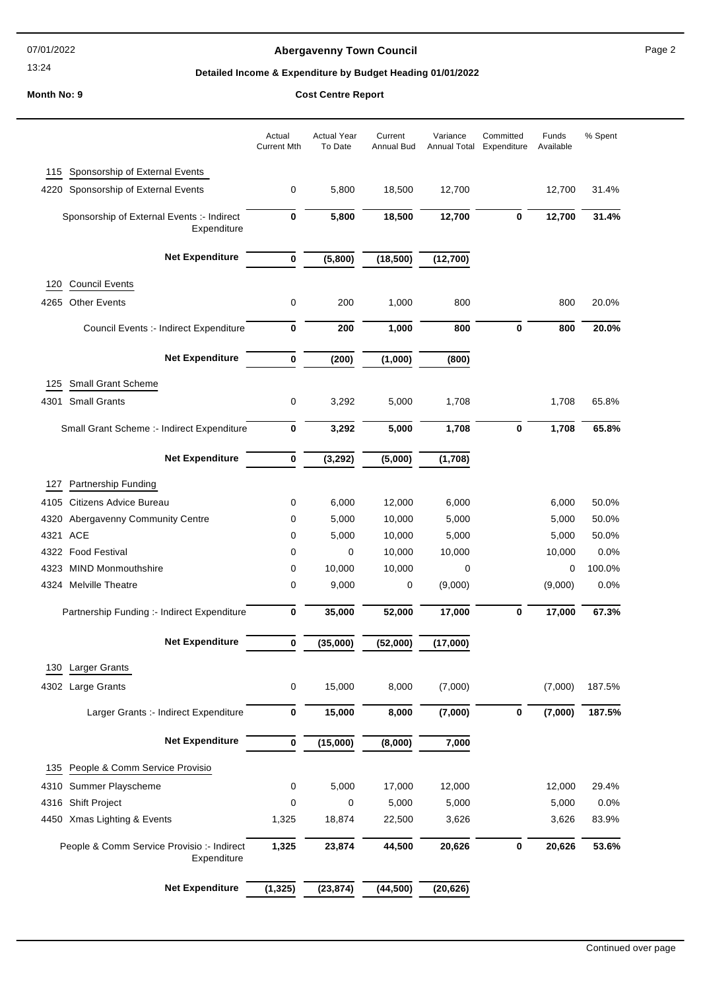07/01/2022

13:24

# **Abergavenny Town Council Abergavenny Town Council Page 2**

# **Detailed Income & Expenditure by Budget Heading 01/01/2022**

**Month No: 9 Cost Centre Report**

|      |                                                           | Actual<br><b>Current Mth</b> | <b>Actual Year</b><br>To Date | Current<br>Annual Bud | Variance<br>Annual Total | Committed<br>Expenditure | Funds<br>Available | % Spent |
|------|-----------------------------------------------------------|------------------------------|-------------------------------|-----------------------|--------------------------|--------------------------|--------------------|---------|
| 115  | Sponsorship of External Events                            |                              |                               |                       |                          |                          |                    |         |
| 4220 | Sponsorship of External Events                            | 0                            | 5,800                         | 18,500                | 12,700                   |                          | 12,700             | 31.4%   |
|      | Sponsorship of External Events :- Indirect<br>Expenditure | $\bf{0}$                     | 5,800                         | 18,500                | 12,700                   | $\bf{0}$                 | 12,700             | 31.4%   |
|      | <b>Net Expenditure</b>                                    | $\pmb{0}$                    | (5,800)                       | (18, 500)             | (12,700)                 |                          |                    |         |
| 120  | <b>Council Events</b>                                     |                              |                               |                       |                          |                          |                    |         |
| 4265 | <b>Other Events</b>                                       | 0                            | 200                           | 1,000                 | 800                      |                          | 800                | 20.0%   |
|      | Council Events :- Indirect Expenditure                    | 0                            | 200                           | 1,000                 | 800                      | 0                        | 800                | 20.0%   |
|      | <b>Net Expenditure</b>                                    | 0                            | (200)                         | (1,000)               | (800)                    |                          |                    |         |
| 125  | <b>Small Grant Scheme</b>                                 |                              |                               |                       |                          |                          |                    |         |
| 4301 | <b>Small Grants</b>                                       | 0                            | 3,292                         | 5,000                 | 1,708                    |                          | 1,708              | 65.8%   |
|      | Small Grant Scheme :- Indirect Expenditure                | 0                            | 3,292                         | 5,000                 | 1,708                    | $\bf{0}$                 | 1,708              | 65.8%   |
|      | <b>Net Expenditure</b>                                    | 0                            | (3, 292)                      | (5,000)               | (1,708)                  |                          |                    |         |
| 127  | Partnership Funding                                       |                              |                               |                       |                          |                          |                    |         |
| 4105 | Citizens Advice Bureau                                    | 0                            | 6,000                         | 12,000                | 6,000                    |                          | 6,000              | 50.0%   |
| 4320 | Abergavenny Community Centre                              | 0                            | 5,000                         | 10,000                | 5,000                    |                          | 5,000              | 50.0%   |
|      | 4321 ACE                                                  | 0                            | 5,000                         | 10,000                | 5,000                    |                          | 5,000              | 50.0%   |
| 4322 | <b>Food Festival</b>                                      | 0                            | 0                             | 10,000                | 10,000                   |                          | 10,000             | 0.0%    |
| 4323 | <b>MIND Monmouthshire</b>                                 | 0                            | 10,000                        | 10,000                | 0                        |                          | 0                  | 100.0%  |
|      | 4324 Melville Theatre                                     | 0                            | 9,000                         | 0                     | (9,000)                  |                          | (9,000)            | 0.0%    |
|      | Partnership Funding :- Indirect Expenditure               | 0                            | 35,000                        | 52,000                | 17,000                   | 0                        | 17,000             | 67.3%   |
|      | <b>Net Expenditure</b>                                    | 0                            | (35,000)                      | (52,000)              | (17,000)                 |                          |                    |         |
| 130  | <b>Larger Grants</b>                                      |                              |                               |                       |                          |                          |                    |         |
|      | 4302 Large Grants                                         | 0                            | 15,000                        | 8,000                 | (7,000)                  |                          | (7,000)            | 187.5%  |
|      | Larger Grants :- Indirect Expenditure                     | 0                            | 15,000                        | 8,000                 | (7,000)                  | 0                        | (7,000)            | 187.5%  |
|      | <b>Net Expenditure</b>                                    | 0                            | (15,000)                      | (8,000)               | 7,000                    |                          |                    |         |
| 135  | People & Comm Service Provisio                            |                              |                               |                       |                          |                          |                    |         |
| 4310 | Summer Playscheme                                         | 0                            | 5,000                         | 17,000                | 12,000                   |                          | 12,000             | 29.4%   |
| 4316 | <b>Shift Project</b>                                      | 0                            | 0                             | 5,000                 | 5,000                    |                          | 5,000              | 0.0%    |
|      | 4450 Xmas Lighting & Events                               | 1,325                        | 18,874                        | 22,500                | 3,626                    |                          | 3,626              | 83.9%   |
|      | People & Comm Service Provisio :- Indirect<br>Expenditure | 1,325                        | 23,874                        | 44,500                | 20,626                   | $\pmb{0}$                | 20,626             | 53.6%   |
|      | <b>Net Expenditure</b>                                    | (1, 325)                     | (23, 874)                     | (44, 500)             | (20, 626)                |                          |                    |         |